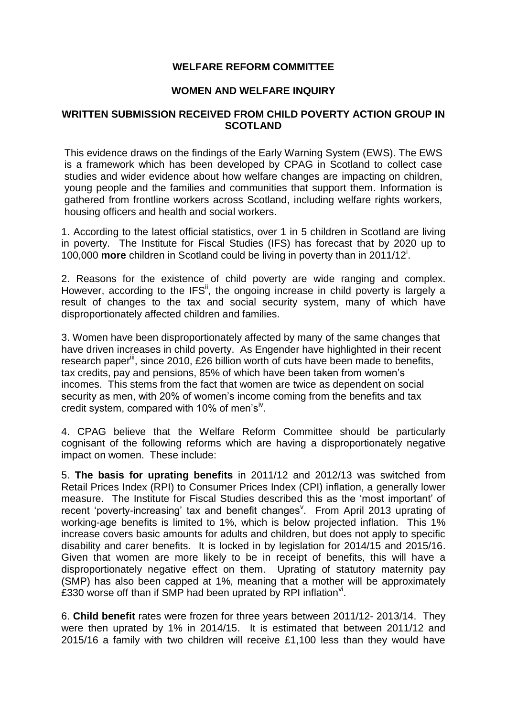# **WELFARE REFORM COMMITTEE**

### **WOMEN AND WELFARE INQUIRY**

## **WRITTEN SUBMISSION RECEIVED FROM CHILD POVERTY ACTION GROUP IN SCOTLAND**

This evidence draws on the findings of the Early Warning System (EWS). The EWS is a framework which has been developed by CPAG in Scotland to collect case studies and wider evidence about how welfare changes are impacting on children, young people and the families and communities that support them. Information is gathered from frontline workers across Scotland, including welfare rights workers, housing officers and health and social workers.

1. According to the latest official statistics, over 1 in 5 children in Scotland are living in poverty. The Institute for Fiscal Studies (IFS) has forecast that by 2020 up to 100,000 **more** children in Scotland could be living in poverty than in 2011/12<sup>i</sup> .

2. Reasons for the existence of child poverty are wide ranging and complex. However, according to the IFS<sup>ii</sup>, the ongoing increase in child poverty is largely a result of changes to the tax and social security system, many of which have disproportionately affected children and families.

3. Women have been disproportionately affected by many of the same changes that have driven increases in child poverty. As Engender have highlighted in their recent research paper<sup>iii</sup>, since 2010, £26 billion worth of cuts have been made to benefits, tax credits, pay and pensions, 85% of which have been taken from women's incomes. This stems from the fact that women are twice as dependent on social security as men, with 20% of women's income coming from the benefits and tax credit system, compared with 10% of men's<sup>iv</sup>.

4. CPAG believe that the Welfare Reform Committee should be particularly cognisant of the following reforms which are having a disproportionately negative impact on women. These include:

5. **The basis for uprating benefits** in 2011/12 and 2012/13 was switched from Retail Prices Index (RPI) to Consumer Prices Index (CPI) inflation, a generally lower measure. The Institute for Fiscal Studies described this as the 'most important' of recent 'poverty-increasing' tax and benefit changes<sup>v</sup>. From April 2013 uprating of working-age benefits is limited to 1%, which is below projected inflation. This 1% increase covers basic amounts for adults and children, but does not apply to specific disability and carer benefits. It is locked in by legislation for 2014/15 and 2015/16. Given that women are more likely to be in receipt of benefits, this will have a disproportionately negative effect on them. Uprating of statutory maternity pay (SMP) has also been capped at 1%, meaning that a mother will be approximately £330 worse off than if SMP had been uprated by RPI inflation $v$ .

6. **Child benefit** rates were frozen for three years between 2011/12- 2013/14. They were then uprated by 1% in 2014/15. It is estimated that between 2011/12 and 2015/16 a family with two children will receive £1,100 less than they would have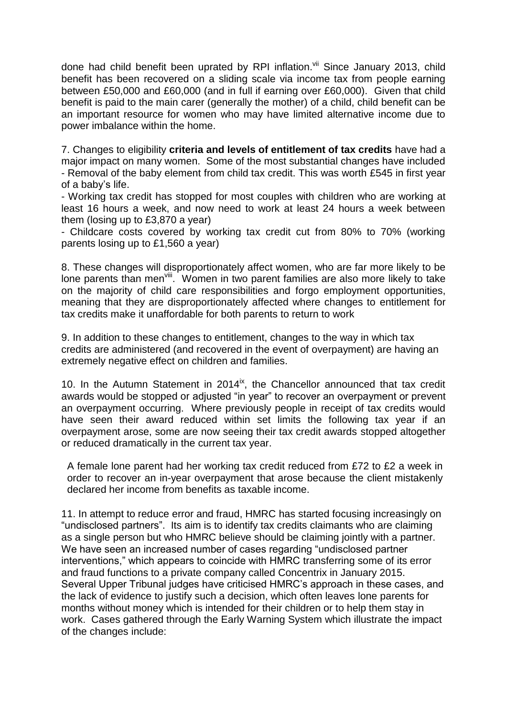done had child benefit been uprated by RPI inflation.<sup>vii</sup> Since January 2013, child benefit has been recovered on a sliding scale via income tax from people earning between £50,000 and £60,000 (and in full if earning over £60,000). Given that child benefit is paid to the main carer (generally the mother) of a child, child benefit can be an important resource for women who may have limited alternative income due to power imbalance within the home.

7. Changes to eligibility **criteria and levels of entitlement of tax credits** have had a major impact on many women. Some of the most substantial changes have included - Removal of the baby element from child tax credit. This was worth £545 in first year of a baby's life.

- Working tax credit has stopped for most couples with children who are working at least 16 hours a week, and now need to work at least 24 hours a week between them (losing up to £3,870 a year)

- Childcare costs covered by working tax credit cut from 80% to 70% (working parents losing up to £1,560 a year)

8. These changes will disproportionately affect women, who are far more likely to be lone parents than men<sup>viii</sup>. Women in two parent families are also more likely to take on the majority of child care responsibilities and forgo employment opportunities, meaning that they are disproportionately affected where changes to entitlement for tax credits make it unaffordable for both parents to return to work

9. In addition to these changes to entitlement, changes to the way in which tax credits are administered (and recovered in the event of overpayment) are having an extremely negative effect on children and families.

10. In the Autumn Statement in  $2014^{ix}$ , the Chancellor announced that tax credit awards would be stopped or adjusted "in year" to recover an overpayment or prevent an overpayment occurring. Where previously people in receipt of tax credits would have seen their award reduced within set limits the following tax year if an overpayment arose, some are now seeing their tax credit awards stopped altogether or reduced dramatically in the current tax year.

A female lone parent had her working tax credit reduced from £72 to £2 a week in order to recover an in-year overpayment that arose because the client mistakenly declared her income from benefits as taxable income.

11. In attempt to reduce error and fraud, HMRC has started focusing increasingly on "undisclosed partners". Its aim is to identify tax credits claimants who are claiming as a single person but who HMRC believe should be claiming jointly with a partner. We have seen an increased number of cases regarding "undisclosed partner interventions," which appears to coincide with HMRC transferring some of its error and fraud functions to a private company called Concentrix in January 2015. Several Upper Tribunal judges have criticised HMRC's approach in these cases, and the lack of evidence to justify such a decision, which often leaves lone parents for months without money which is intended for their children or to help them stay in work. Cases gathered through the Early Warning System which illustrate the impact of the changes include: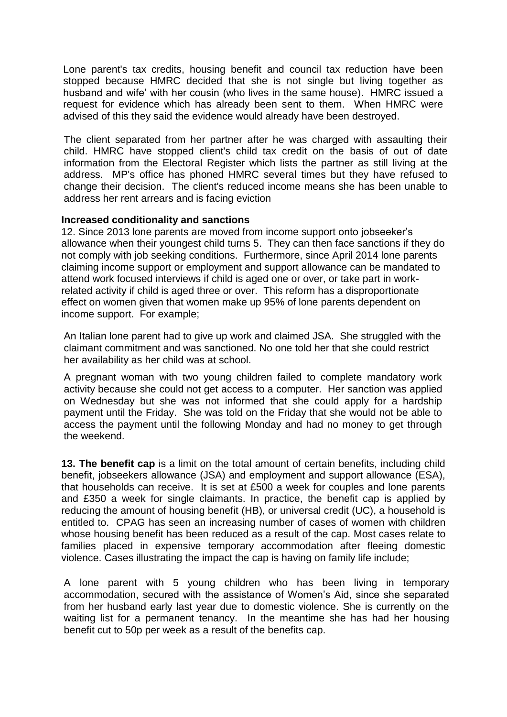Lone parent's tax credits, housing benefit and council tax reduction have been stopped because HMRC decided that she is not single but living together as husband and wife' with her cousin (who lives in the same house). HMRC issued a request for evidence which has already been sent to them. When HMRC were advised of this they said the evidence would already have been destroyed.

The client separated from her partner after he was charged with assaulting their child. HMRC have stopped client's child tax credit on the basis of out of date information from the Electoral Register which lists the partner as still living at the address. MP's office has phoned HMRC several times but they have refused to change their decision. The client's reduced income means she has been unable to address her rent arrears and is facing eviction

## **Increased conditionality and sanctions**

12. Since 2013 lone parents are moved from income support onto jobseeker's allowance when their youngest child turns 5. They can then face sanctions if they do not comply with job seeking conditions. Furthermore, since April 2014 lone parents claiming income support or employment and support allowance can be mandated to attend work focused interviews if child is aged one or over, or take part in workrelated activity if child is aged three or over. This reform has a disproportionate effect on women given that women make up 95% of lone parents dependent on income support. For example;

An Italian lone parent had to give up work and claimed JSA. She struggled with the claimant commitment and was sanctioned. No one told her that she could restrict her availability as her child was at school.

A pregnant woman with two young children failed to complete mandatory work activity because she could not get access to a computer. Her sanction was applied on Wednesday but she was not informed that she could apply for a hardship payment until the Friday. She was told on the Friday that she would not be able to access the payment until the following Monday and had no money to get through the weekend.

**13. The benefit cap** is a limit on the total amount of certain benefits, including child benefit, jobseekers allowance (JSA) and employment and support allowance (ESA), that households can receive. It is set at £500 a week for couples and lone parents and £350 a week for single claimants. In practice, the benefit cap is applied by reducing the amount of housing benefit (HB), or universal credit (UC), a household is entitled to. CPAG has seen an increasing number of cases of women with children whose housing benefit has been reduced as a result of the cap. Most cases relate to families placed in expensive temporary accommodation after fleeing domestic violence. Cases illustrating the impact the cap is having on family life include;

A lone parent with 5 young children who has been living in temporary accommodation, secured with the assistance of Women's Aid, since she separated from her husband early last year due to domestic violence. She is currently on the waiting list for a permanent tenancy. In the meantime she has had her housing benefit cut to 50p per week as a result of the benefits cap.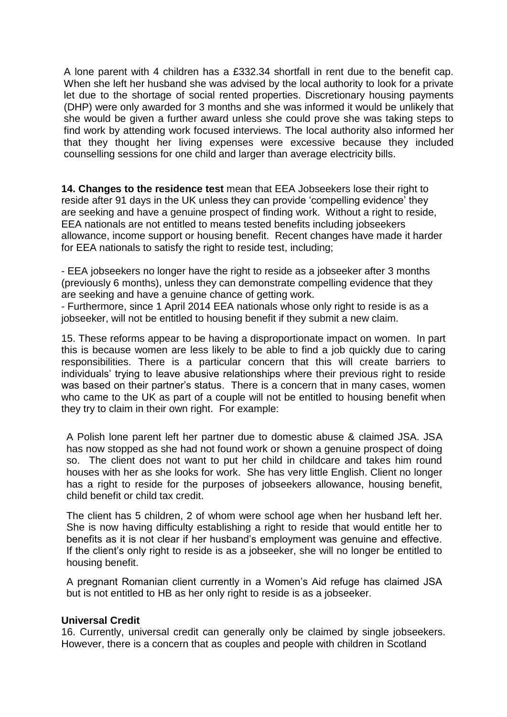A lone parent with 4 children has a £332.34 shortfall in rent due to the benefit cap. When she left her husband she was advised by the local authority to look for a private let due to the shortage of social rented properties. Discretionary housing payments (DHP) were only awarded for 3 months and she was informed it would be unlikely that she would be given a further award unless she could prove she was taking steps to find work by attending work focused interviews. The local authority also informed her that they thought her living expenses were excessive because they included counselling sessions for one child and larger than average electricity bills.

**14. Changes to the residence test** mean that EEA Jobseekers lose their right to reside after 91 days in the UK unless they can provide 'compelling evidence' they are seeking and have a genuine prospect of finding work. Without a right to reside, EEA nationals are not entitled to means tested benefits including jobseekers allowance, income support or housing benefit. Recent changes have made it harder for EEA nationals to satisfy the right to reside test, including;

- EEA jobseekers no longer have the right to reside as a jobseeker after 3 months (previously 6 months), unless they can demonstrate compelling evidence that they are seeking and have a genuine chance of getting work.

- Furthermore, since 1 April 2014 EEA nationals whose only right to reside is as a jobseeker, will not be entitled to housing benefit if they submit a new claim.

15. These reforms appear to be having a disproportionate impact on women. In part this is because women are less likely to be able to find a job quickly due to caring responsibilities. There is a particular concern that this will create barriers to individuals' trying to leave abusive relationships where their previous right to reside was based on their partner's status. There is a concern that in many cases, women who came to the UK as part of a couple will not be entitled to housing benefit when they try to claim in their own right. For example:

A Polish lone parent left her partner due to domestic abuse & claimed JSA. JSA has now stopped as she had not found work or shown a genuine prospect of doing so. The client does not want to put her child in childcare and takes him round houses with her as she looks for work. She has very little English. Client no longer has a right to reside for the purposes of jobseekers allowance, housing benefit, child benefit or child tax credit.

The client has 5 children, 2 of whom were school age when her husband left her. She is now having difficulty establishing a right to reside that would entitle her to benefits as it is not clear if her husband's employment was genuine and effective. If the client's only right to reside is as a jobseeker, she will no longer be entitled to housing benefit.

A pregnant Romanian client currently in a Women's Aid refuge has claimed JSA but is not entitled to HB as her only right to reside is as a jobseeker.

#### **Universal Credit**

16. Currently, universal credit can generally only be claimed by single jobseekers. However, there is a concern that as couples and people with children in Scotland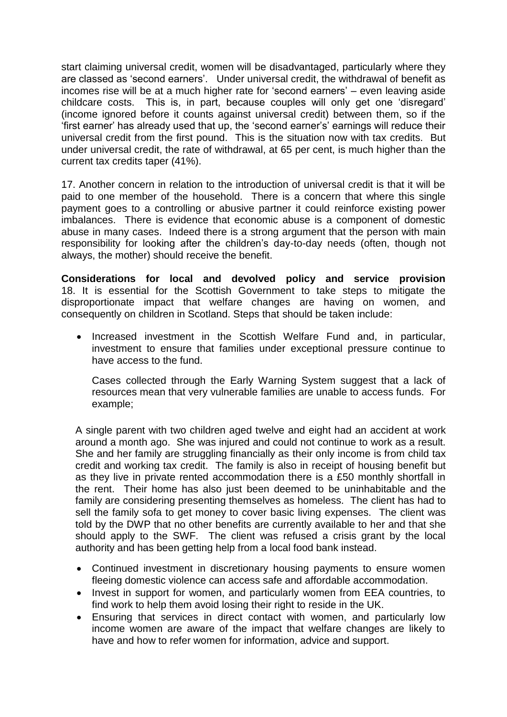start claiming universal credit, women will be disadvantaged, particularly where they are classed as 'second earners'.Under universal credit, the withdrawal of benefit as incomes rise will be at a much higher rate for 'second earners' – even leaving aside childcare costs. This is, in part, because couples will only get one 'disregard' (income ignored before it counts against universal credit) between them, so if the 'first earner' has already used that up, the 'second earner's' earnings will reduce their universal credit from the first pound. This is the situation now with tax credits. But under universal credit, the rate of withdrawal, at 65 per cent, is much higher than the current tax credits taper (41%).

17. Another concern in relation to the introduction of universal credit is that it will be paid to one member of the household. There is a concern that where this single payment goes to a controlling or abusive partner it could reinforce existing power imbalances. There is evidence that economic abuse is a component of domestic abuse in many cases. Indeed there is a strong argument that the person with main responsibility for looking after the children's day-to-day needs (often, though not always, the mother) should receive the benefit.

**Considerations for local and devolved policy and service provision** 18. It is essential for the Scottish Government to take steps to mitigate the disproportionate impact that welfare changes are having on women, and consequently on children in Scotland. Steps that should be taken include:

• Increased investment in the Scottish Welfare Fund and, in particular, investment to ensure that families under exceptional pressure continue to have access to the fund.

Cases collected through the Early Warning System suggest that a lack of resources mean that very vulnerable families are unable to access funds. For example;

A single parent with two children aged twelve and eight had an accident at work around a month ago. She was injured and could not continue to work as a result. She and her family are struggling financially as their only income is from child tax credit and working tax credit. The family is also in receipt of housing benefit but as they live in private rented accommodation there is a £50 monthly shortfall in the rent. Their home has also just been deemed to be uninhabitable and the family are considering presenting themselves as homeless. The client has had to sell the family sofa to get money to cover basic living expenses. The client was told by the DWP that no other benefits are currently available to her and that she should apply to the SWF. The client was refused a crisis grant by the local authority and has been getting help from a local food bank instead.

- Continued investment in discretionary housing payments to ensure women fleeing domestic violence can access safe and affordable accommodation.
- Invest in support for women, and particularly women from EEA countries, to find work to help them avoid losing their right to reside in the UK.
- Ensuring that services in direct contact with women, and particularly low income women are aware of the impact that welfare changes are likely to have and how to refer women for information, advice and support.